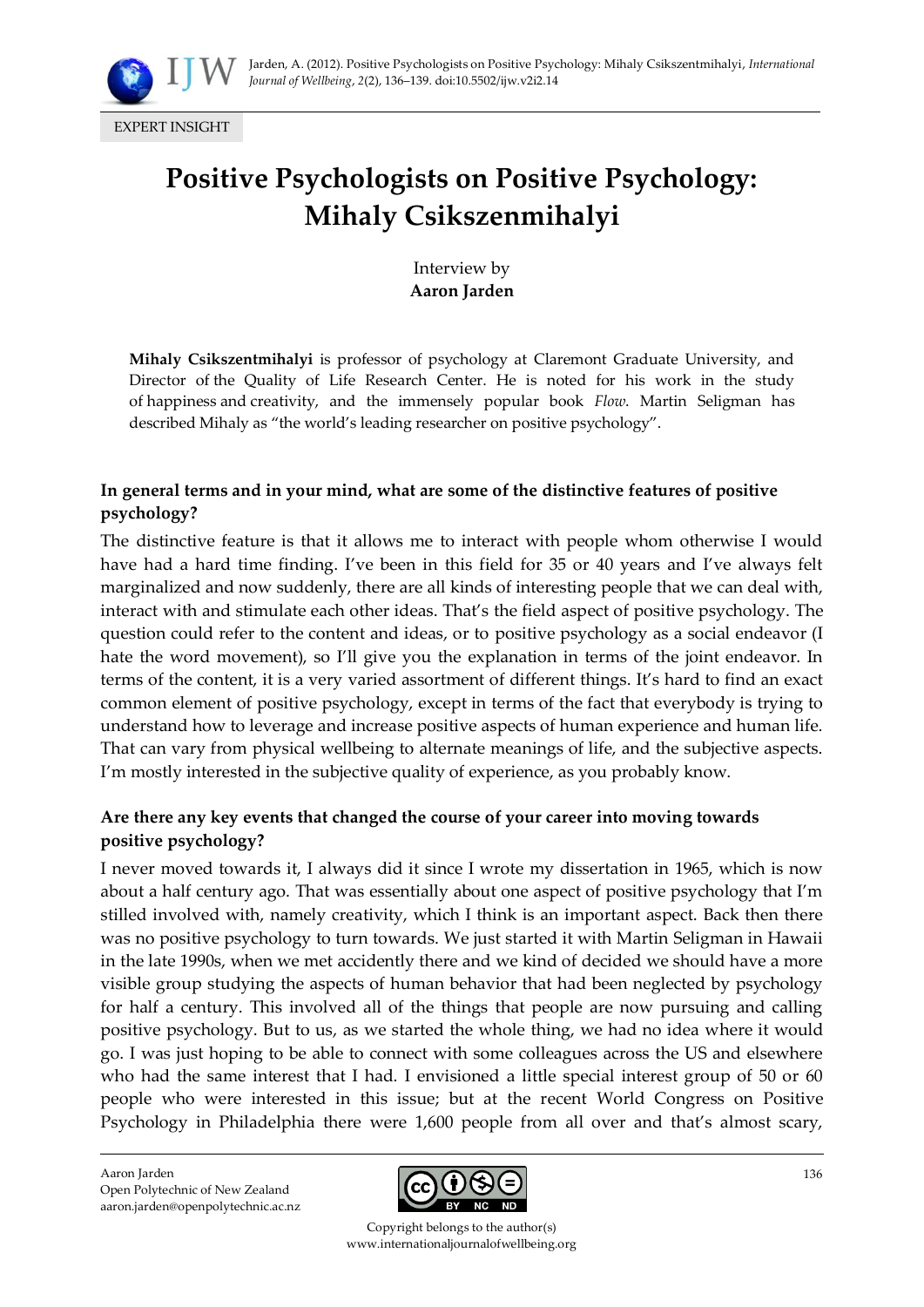

EXPERT INSIGHT

# **Positive Psychologists on Positive Psychology: Mihaly Csikszenmihalyi**

Interview by **Aaron Jarden**

**Mihaly Csikszentmihalyi** is professor of psychology at Claremont Graduate University, and Director of the Quality of Life Research Center. He is noted for his work in the study of happiness and creativity, and the immensely popular book *Flow*. Martin Seligman has described Mihaly as 'the world's leading researcher on positive psychology'.

## **In general terms and in your mind, what are some of the distinctive features of positive psychology?**

The distinctive feature is that it allows me to interact with people whom otherwise I would have had a hard time finding. I've been in this field for 35 or 40 years and I've always felt marginalized and now suddenly, there are all kinds of interesting people that we can deal with, interact with and stimulate each other ideas. That's the field aspect of positive psychology. The question could refer to the content and ideas, or to positive psychology as a social endeavor (I hate the word movement), so I'll give you the explanation in terms of the joint endeavor. In terms of the content, it is a very varied assortment of different things. It's hard to find an exact common element of positive psychology, except in terms of the fact that everybody is trying to understand how to leverage and increase positive aspects of human experience and human life. That can vary from physical wellbeing to alternate meanings of life, and the subjective aspects. I'm mostly interested in the subjective quality of experience, as you probably know.

## **Are there any key events that changed the course of your career into moving towards positive psychology?**

I never moved towards it, I always did it since I wrote my dissertation in 1965, which is now about a half century ago. That was essentially about one aspect of positive psychology that I'm stilled involved with, namely creativity, which I think is an important aspect. Back then there was no positive psychology to turn towards. We just started it with Martin Seligman in Hawaii in the late 1990s, when we met accidently there and we kind of decided we should have a more visible group studying the aspects of human behavior that had been neglected by psychology for half a century. This involved all of the things that people are now pursuing and calling positive psychology. But to us, as we started the whole thing, we had no idea where it would go. I was just hoping to be able to connect with some colleagues across the US and elsewhere who had the same interest that I had. I envisioned a little special interest group of 50 or 60 people who were interested in this issue; but at the recent World Congress on Positive Psychology in Philadelphia there were 1,600 people from all over and that's almost scary,

Aaron Jarden Open Polytechnic of New Zealand aaron.jarden@openpolytechnic.ac.nz



Copyright belongs to the author(s) www.internationaljournalofwellbeing.org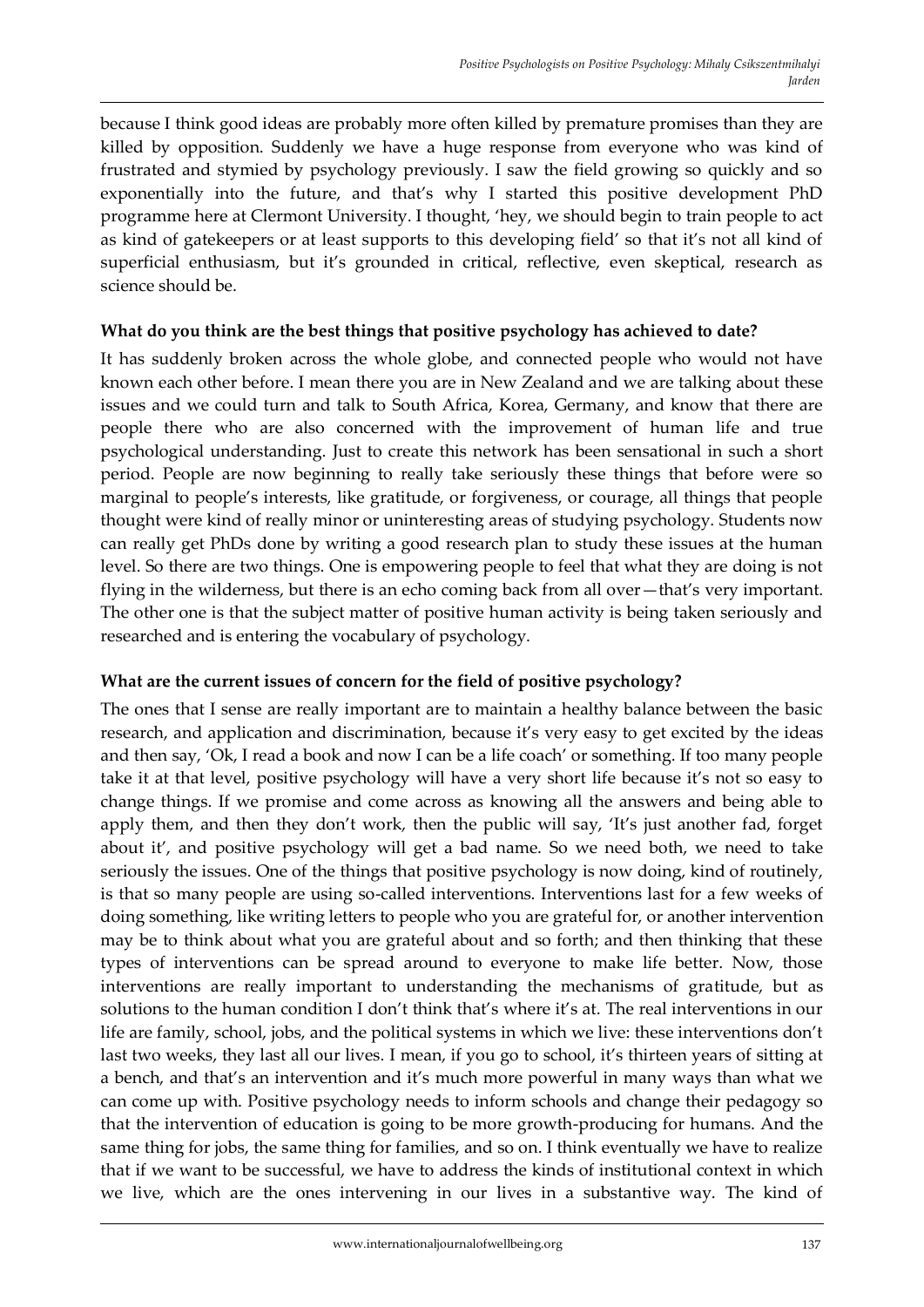because I think good ideas are probably more often killed by premature promises than they are killed by opposition. Suddenly we have a huge response from everyone who was kind of frustrated and stymied by psychology previously. I saw the field growing so quickly and so exponentially into the future, and that's why I started this positive development PhD programme here at Clermont University. I thought, 'hey, we should begin to train people to act as kind of gatekeepers or at least supports to this developing field' so that it's not all kind of superficial enthusiasm, but it's grounded in critical, reflective, even skeptical, research as science should be.

## **What do you think are the best things that positive psychology has achieved to date?**

It has suddenly broken across the whole globe, and connected people who would not have known each other before. I mean there you are in New Zealand and we are talking about these issues and we could turn and talk to South Africa, Korea, Germany, and know that there are people there who are also concerned with the improvement of human life and true psychological understanding. Just to create this network has been sensational in such a short period. People are now beginning to really take seriously these things that before were so marginal to people's interests, like gratitude, or forgiveness, or courage, all things that people thought were kind of really minor or uninteresting areas of studying psychology. Students now can really get PhDs done by writing a good research plan to study these issues at the human level. So there are two things. One is empowering people to feel that what they are doing is not flying in the wilderness, but there is an echo coming back from all over—that's very important. The other one is that the subject matter of positive human activity is being taken seriously and researched and is entering the vocabulary of psychology.

## **What are the current issues of concern for the field of positive psychology?**

The ones that I sense are really important are to maintain a healthy balance between the basic research, and application and discrimination, because it's very easy to get excited by the ideas and then say, 'Ok, I read a book and now I can be a life coach' or something. If too many people take it at that level, positive psychology will have a very short life because it's not so easy to change things. If we promise and come across as knowing all the answers and being able to apply them, and then they don't work, then the public will say, 'It's just another fad, forget about it', and positive psychology will get a bad name. So we need both, we need to take seriously the issues. One of the things that positive psychology is now doing, kind of routinely, is that so many people are using so-called interventions. Interventions last for a few weeks of doing something, like writing letters to people who you are grateful for, or another intervention may be to think about what you are grateful about and so forth; and then thinking that these types of interventions can be spread around to everyone to make life better. Now, those interventions are really important to understanding the mechanisms of gratitude, but as solutions to the human condition I don't think that's where it's at. The real interventions in our life are family, school, jobs, and the political systems in which we live: these interventions don't last two weeks, they last all our lives. I mean, if you go to school, it's thirteen years of sitting at a bench, and that's an intervention and it's much more powerful in many ways than what we can come up with. Positive psychology needs to inform schools and change their pedagogy so that the intervention of education is going to be more growth-producing for humans. And the same thing for jobs, the same thing for families, and so on. I think eventually we have to realize that if we want to be successful, we have to address the kinds of institutional context in which we live, which are the ones intervening in our lives in a substantive way. The kind of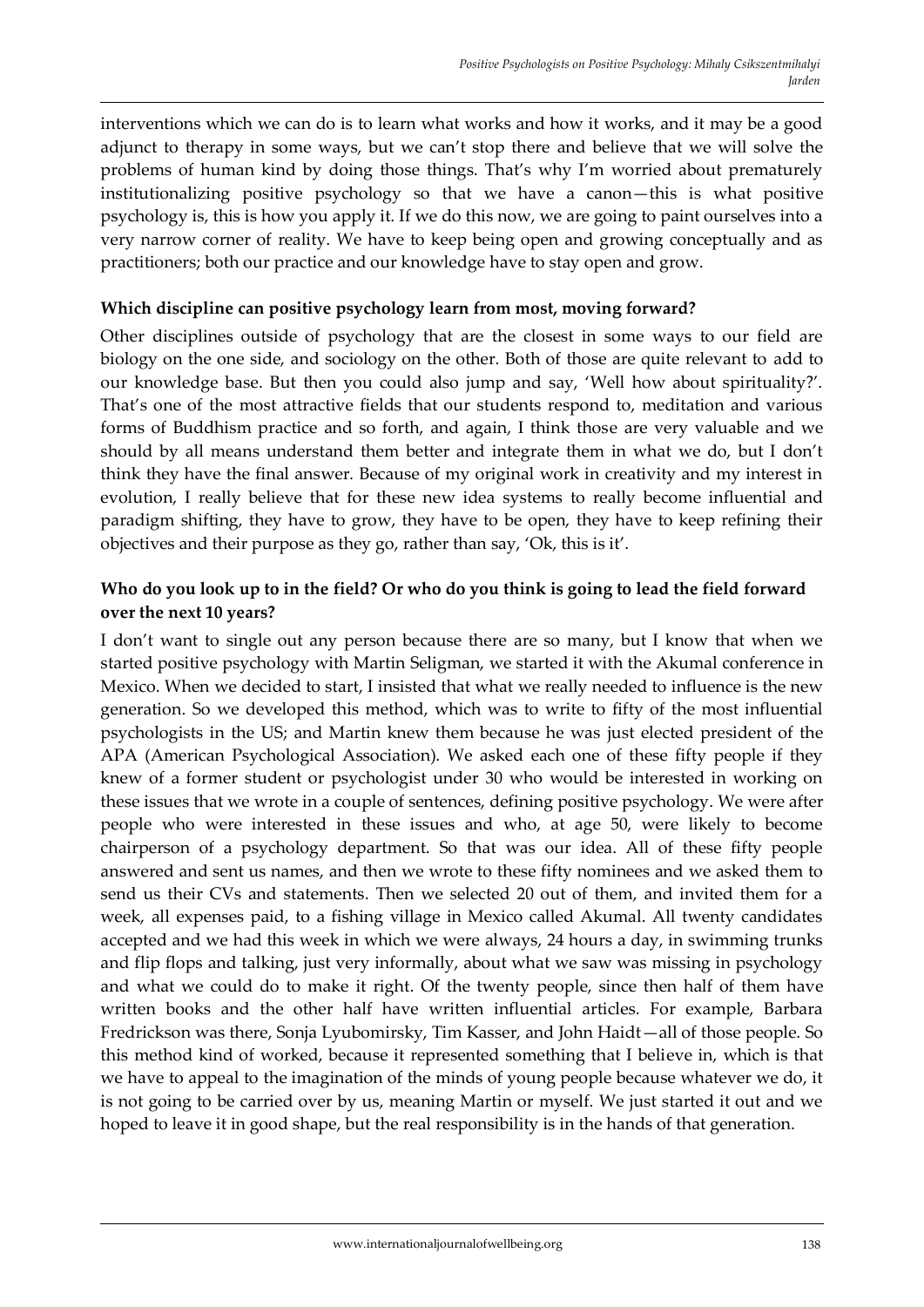interventions which we can do is to learn what works and how it works, and it may be a good adjunct to therapy in some ways, but we can't stop there and believe that we will solve the problems of human kind by doing those things. That's why I'm worried about prematurely institutionalizing positive psychology so that we have a canon—this is what positive psychology is, this is how you apply it. If we do this now, we are going to paint ourselves into a very narrow corner of reality. We have to keep being open and growing conceptually and as practitioners; both our practice and our knowledge have to stay open and grow.

#### **Which discipline can positive psychology learn from most, moving forward?**

Other disciplines outside of psychology that are the closest in some ways to our field are biology on the one side, and sociology on the other. Both of those are quite relevant to add to our knowledge base. But then you could also jump and say, 'Well how about spirituality?'. That's one of the most attractive fields that our students respond to, meditation and various forms of Buddhism practice and so forth, and again, I think those are very valuable and we should by all means understand them better and integrate them in what we do, but I don't think they have the final answer. Because of my original work in creativity and my interest in evolution, I really believe that for these new idea systems to really become influential and paradigm shifting, they have to grow, they have to be open, they have to keep refining their objectives and their purpose as they go, rather than say, 'Ok, this is it'.

### **Who do you look up to in the field? Or who do you think is going to lead the field forward over the next 10 years?**

I don't want to single out any person because there are so many, but I know that when we started positive psychology with Martin Seligman, we started it with the Akumal conference in Mexico. When we decided to start, I insisted that what we really needed to influence is the new generation. So we developed this method, which was to write to fifty of the most influential psychologists in the US; and Martin knew them because he was just elected president of the APA (American Psychological Association). We asked each one of these fifty people if they knew of a former student or psychologist under 30 who would be interested in working on these issues that we wrote in a couple of sentences, defining positive psychology. We were after people who were interested in these issues and who, at age 50, were likely to become chairperson of a psychology department. So that was our idea. All of these fifty people answered and sent us names, and then we wrote to these fifty nominees and we asked them to send us their CVs and statements. Then we selected 20 out of them, and invited them for a week, all expenses paid, to a fishing village in Mexico called Akumal. All twenty candidates accepted and we had this week in which we were always, 24 hours a day, in swimming trunks and flip flops and talking, just very informally, about what we saw was missing in psychology and what we could do to make it right. Of the twenty people, since then half of them have written books and the other half have written influential articles. For example, Barbara Fredrickson was there, Sonja Lyubomirsky, Tim Kasser, and John Haidt—all of those people. So this method kind of worked, because it represented something that I believe in, which is that we have to appeal to the imagination of the minds of young people because whatever we do, it is not going to be carried over by us, meaning Martin or myself. We just started it out and we hoped to leave it in good shape, but the real responsibility is in the hands of that generation.